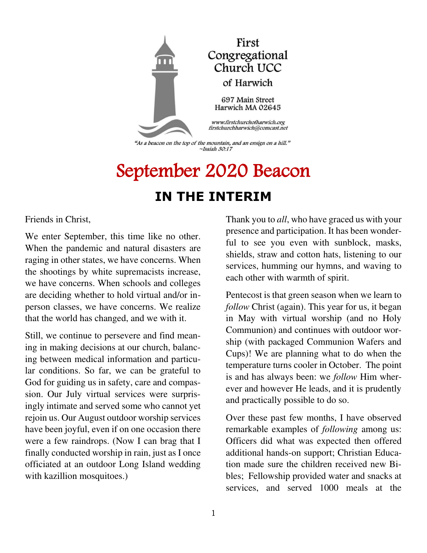

"As a beacon on the top of the mountain, and an ensign on a hill."  $\sim$ Isaiah 30:17

# September 2020 Beacon **IN THE INTERIM**

Friends in Christ,

We enter September, this time like no other. When the pandemic and natural disasters are raging in other states, we have concerns. When the shootings by white supremacists increase, we have concerns. When schools and colleges are deciding whether to hold virtual and/or inperson classes, we have concerns. We realize that the world has changed, and we with it.

Still, we continue to persevere and find meaning in making decisions at our church, balancing between medical information and particular conditions. So far, we can be grateful to God for guiding us in safety, care and compassion. Our July virtual services were surprisingly intimate and served some who cannot yet rejoin us. Our August outdoor worship services have been joyful, even if on one occasion there were a few raindrops. (Now I can brag that I finally conducted worship in rain, just as I once officiated at an outdoor Long Island wedding with kazillion mosquitoes.)

Thank you to *all*, who have graced us with your presence and participation. It has been wonderful to see you even with sunblock, masks, shields, straw and cotton hats, listening to our services, humming our hymns, and waving to each other with warmth of spirit.

Pentecost is that green season when we learn to *follow* Christ (again). This year for us, it began in May with virtual worship (and no Holy Communion) and continues with outdoor worship (with packaged Communion Wafers and Cups)! We are planning what to do when the temperature turns cooler in October. The point is and has always been: we *follow* Him wherever and however He leads, and it is prudently and practically possible to do so.

Over these past few months, I have observed remarkable examples of *following* among us: Officers did what was expected then offered additional hands-on support; Christian Education made sure the children received new Bibles; Fellowship provided water and snacks at services, and served 1000 meals at the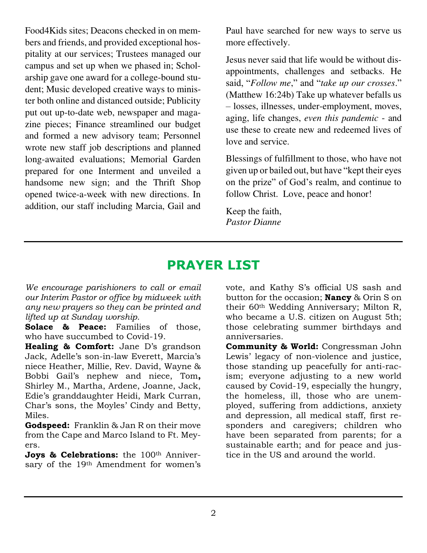Food4Kids sites; Deacons checked in on members and friends, and provided exceptional hospitality at our services; Trustees managed our campus and set up when we phased in; Scholarship gave one award for a college-bound student; Music developed creative ways to minister both online and distanced outside; Publicity put out up-to-date web, newspaper and magazine pieces; Finance streamlined our budget and formed a new advisory team; Personnel wrote new staff job descriptions and planned long-awaited evaluations; Memorial Garden prepared for one Interment and unveiled a handsome new sign; and the Thrift Shop opened twice-a-week with new directions. In addition, our staff including Marcia, Gail and

Paul have searched for new ways to serve us more effectively.

Jesus never said that life would be without disappointments, challenges and setbacks. He said, "*Follow me*," and "*take up our crosses*." (Matthew 16:24b) Take up whatever befalls us – losses, illnesses, under-employment, moves, aging, life changes, *even this pandemic* - and use these to create new and redeemed lives of love and service.

Blessings of fulfillment to those, who have not given up or bailed out, but have "kept their eyes on the prize" of God's realm, and continue to follow Christ. Love, peace and honor!

Keep the faith, *Pastor Dianne* 

# **PRAYER LIST**

*We encourage parishioners to call or email our Interim Pastor or office by midweek with any new prayers so they can be printed and lifted up at Sunday worship.* 

**Solace & Peace:** Families of those, who have succumbed to Covid-19.

**Healing & Comfort:** Jane D's grandson Jack, Adelle's son-in-law Everett, Marcia's niece Heather, Millie, Rev. David, Wayne & Bobbi Gail's nephew and niece, Tom**,** Shirley M., Martha, Ardene, Joanne, Jack, Edie's granddaughter Heidi, Mark Curran, Char's sons, the Moyles' Cindy and Betty, Miles.

**Godspeed:** Franklin & Jan R on their move from the Cape and Marco Island to Ft. Meyers.

**Joys & Celebrations:** the 100<sup>th</sup> Anniversary of the 19th Amendment for women's vote, and Kathy S's official US sash and button for the occasion; **Nancy** & Orin S on their 60th Wedding Anniversary; Milton R, who became a U.S. citizen on August 5th; those celebrating summer birthdays and anniversaries.

**Community & World:** Congressman John Lewis' legacy of non-violence and justice, those standing up peacefully for anti-racism; everyone adjusting to a new world caused by Covid-19, especially the hungry, the homeless, ill, those who are unemployed, suffering from addictions, anxiety and depression, all medical staff, first responders and caregivers; children who have been separated from parents; for a sustainable earth; and for peace and justice in the US and around the world.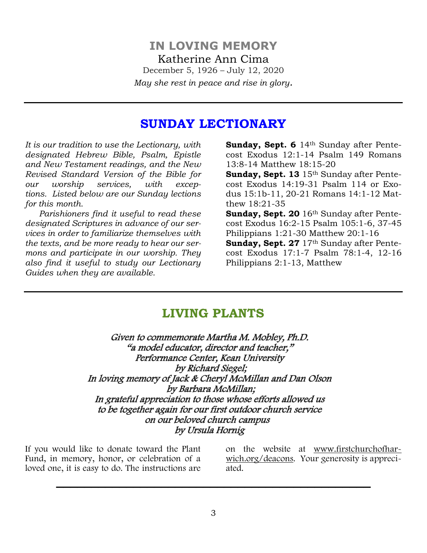### **SUNDAY LECTIONARY**

*It is our tradition to use the Lectionary, with designated Hebrew Bible, Psalm, Epistle and New Testament readings, and the New Revised Standard Version of the Bible for our worship services, with exceptions. Listed below are our Sunday lections for this month.* 

 *Parishioners find it useful to read these designated Scriptures in advance of our services in order to familiarize themselves with the texts, and be more ready to hear our sermons and participate in our worship. They also find it useful to study our Lectionary Guides when they are available.* 

**Sunday, Sept. 6** 14th Sunday after Pentecost Exodus 12:1-14 Psalm 149 Romans 13:8-14 Matthew 18:15-20

**Sunday, Sept. 13** 15th Sunday after Pentecost Exodus 14:19-31 Psalm 114 or Exodus 15:1b-11, 20-21 Romans 14:1-12 Matthew 18:21-35

Sunday, Sept. 20 16<sup>th</sup> Sunday after Pentecost Exodus 16:2-15 Psalm 105:1-6, 37-45 Philippians 1:21-30 Matthew 20:1-16 Sunday, Sept. 27 17<sup>th</sup> Sunday after Pentecost Exodus 17:1-7 Psalm 78:1-4, 12-16 Philippians 2:1-13, Matthew

## **LIVING PLANTS**

Given to commemorate Martha M. Mobley, Ph.D. "a model educator, director and teacher, " Performance Center, Kean University by Richard Siegel; In loving memory of Jack & Cheryl McMillan and Dan Olson by Barbara McMillan; In grateful appreciation to those whose efforts allowed us to be together again for our first outdoor church service on our beloved church campus by Ursula Hornig

If you would like to donate toward the Plant Fund, in memory, honor, or celebration of a loved one, it is easy to do. The instructions are

on the website at [www.firstchurchofhar](http://www.firstchurchofharwich.org/)[wich.org/](http://www.firstchurchofharwich.org/)deacons. Your generosity is appreciated.

\_\_\_\_\_\_\_\_\_\_\_\_\_\_\_\_\_\_\_\_\_\_\_\_\_\_\_\_\_\_\_\_\_\_\_\_\_\_\_\_\_\_\_\_\_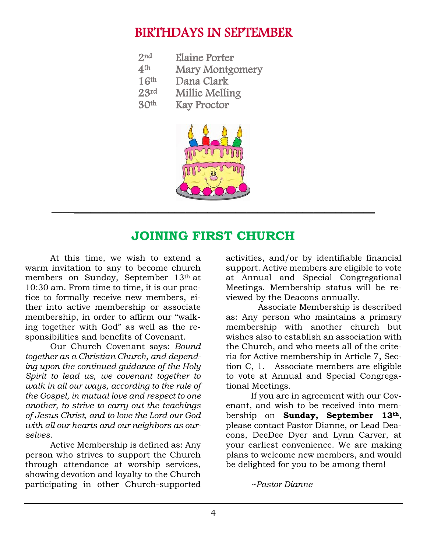## BIRTHDAYS IN SEPTEMBER

| 2 <sub>nd</sub>  | <b>Elaine Porter</b>   |
|------------------|------------------------|
| 4 <sup>th</sup>  | <b>Mary Montgomery</b> |
| 16 <sup>th</sup> | Dana Clark             |
| 23rd             | Millie Melling         |
| 30 <sup>th</sup> | <b>Kay Proctor</b>     |



## **JOINING FIRST CHURCH**

At this time, we wish to extend a warm invitation to any to become church members on Sunday, September 13th at 10:30 am. From time to time, it is our practice to formally receive new members, either into active membership or associate membership, in order to affirm our "walking together with God" as well as the responsibilities and benefits of Covenant.

Our Church Covenant says: *Bound together as a Christian Church, and depending upon the continued guidance of the Holy Spirit to lead us, we covenant together to walk in all our ways, according to the rule of the Gospel, in mutual love and respect to one another, to strive to carry out the teachings of Jesus Christ, and to love the Lord our God with all our hearts and our neighbors as ourselves.*

Active Membership is defined as: Any person who strives to support the Church through attendance at worship services, showing devotion and loyalty to the Church participating in other Church-supported activities, and/or by identifiable financial support. Active members are eligible to vote at Annual and Special Congregational Meetings. Membership status will be reviewed by the Deacons annually.

 Associate Membership is described as: Any person who maintains a primary membership with another church but wishes also to establish an association with the Church, and who meets all of the criteria for Active membership in Article 7, Section C, 1. Associate members are eligible to vote at Annual and Special Congregational Meetings*.* 

If you are in agreement with our Covenant, and wish to be received into membership on **Sunday, September 13th**, please contact Pastor Dianne, or Lead Deacons, DeeDee Dyer and Lynn Carver, at your earliest convenience. We are making plans to welcome new members, and would be delighted for you to be among them!

*~Pastor Dianne*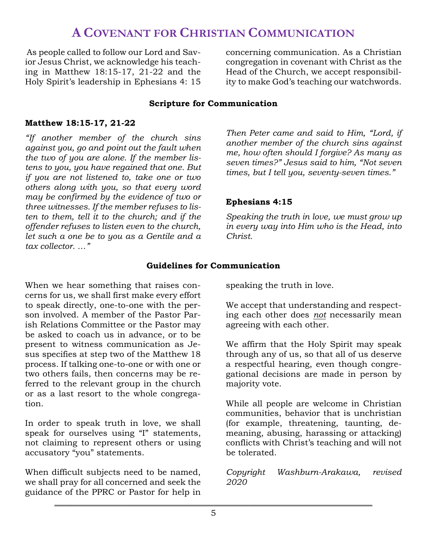## **A COVENANT FOR CHRISTIAN COMMUNICATION**

As people called to follow our Lord and Savior Jesus Christ, we acknowledge his teaching in Matthew 18:15-17, 21-22 and the Holy Spirit's leadership in Ephesians 4: 15 concerning communication. As a Christian congregation in covenant with Christ as the Head of the Church, we accept responsibility to make God's teaching our watchwords.

#### **Scripture for Communication**

#### **Matthew 18:15-17, 21-22**

*"If another member of the church sins against you, go and point out the fault when the two of you are alone. If the member listens to you, you have regained that one. But if you are not listened to, take one or two others along with you, so that every word may be confirmed by the evidence of two or three witnesses. If the member refuses to listen to them, tell it to the church; and if the offender refuses to listen even to the church, let such a one be to you as a Gentile and a tax collector. …"*

*Then Peter came and said to Him, "Lord, if another member of the church sins against me, how often should I forgive? As many as seven times?" Jesus said to him, "Not seven times, but I tell you, seventy-seven times."*

#### **Ephesians 4:15**

*Speaking the truth in love, we must grow up in every way into Him who is the Head, into Christ.* 

#### **Guidelines for Communication**

When we hear something that raises concerns for us, we shall first make every effort to speak directly, one-to-one with the person involved. A member of the Pastor Parish Relations Committee or the Pastor may be asked to coach us in advance, or to be present to witness communication as Jesus specifies at step two of the Matthew 18 process. If talking one-to-one or with one or two others fails, then concerns may be referred to the relevant group in the church or as a last resort to the whole congregation.

In order to speak truth in love, we shall speak for ourselves using "I" statements, not claiming to represent others or using accusatory "you" statements.

When difficult subjects need to be named, we shall pray for all concerned and seek the guidance of the PPRC or Pastor for help in speaking the truth in love.

We accept that understanding and respecting each other does *not* necessarily mean agreeing with each other.

We affirm that the Holy Spirit may speak through any of us, so that all of us deserve a respectful hearing, even though congregational decisions are made in person by majority vote.

While all people are welcome in Christian communities, behavior that is unchristian (for example, threatening, taunting, demeaning, abusing, harassing or attacking) conflicts with Christ's teaching and will not be tolerated.

*Copyright Washburn-Arakawa, revised 2020*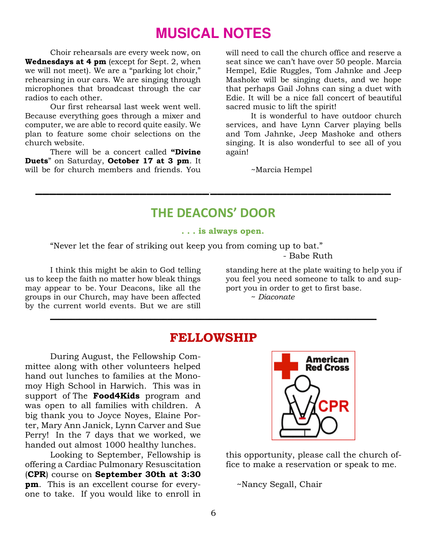# **MUSICAL NOTES**

Choir rehearsals are every week now, on **Wednesdays at 4 pm** (except for Sept. 2, when we will not meet). We are a "parking lot choir," rehearsing in our cars. We are singing through microphones that broadcast through the car radios to each other.

Our first rehearsal last week went well. Because everything goes through a mixer and computer, we are able to record quite easily. We plan to feature some choir selections on the church website.

There will be a concert called **"Divine Duets**" on Saturday, **October 17 at 3 pm**. It will be for church members and friends. You will need to call the church office and reserve a seat since we can't have over 50 people. Marcia Hempel, Edie Ruggles, Tom Jahnke and Jeep Mashoke will be singing duets, and we hope that perhaps Gail Johns can sing a duet with Edie. It will be a nice fall concert of beautiful sacred music to lift the spirit!

It is wonderful to have outdoor church services, and have Lynn Carver playing bells and Tom Jahnke, Jeep Mashoke and others singing. It is also wonderful to see all of you again!

~Marcia Hempel

## **THE DEACONS' DOOR**

**\_\_\_\_\_\_\_\_\_\_\_\_\_\_\_\_\_\_\_\_\_\_\_\_\_\_\_\_\_\_\_\_\_\_\_\_\_\_\_\_\_\_\_\_\_\_\_\_\_\_\_\_**

#### **. . . is always open.**

"Never let the fear of striking out keep you from coming up to bat." - Babe Ruth

I think this might be akin to God telling us to keep the faith no matter how bleak things may appear to be. Your Deacons, like all the groups in our Church, may have been affected by the current world events. But we are still

standing here at the plate waiting to help you if you feel you need someone to talk to and support you in order to get to first base.

~ *Diaconate* 

#### **FELLOWSHIP**

**\_\_\_\_\_\_\_\_\_\_\_\_\_\_\_\_\_\_\_\_\_\_\_\_\_\_\_\_\_\_\_\_\_\_\_\_\_\_\_\_\_\_\_\_\_\_\_\_\_\_\_\_\_\_\_\_\_\_\_\_\_\_\_\_\_\_\_\_\_\_\_\_\_\_\_\_\_\_**

During August, the Fellowship Committee along with other volunteers helped hand out lunches to families at the Monomoy High School in Harwich. This was in support of The **Food4Kids** program and was open to all families with children. A big thank you to Joyce Noyes, Elaine Porter, Mary Ann Janick, Lynn Carver and Sue Perry! In the 7 days that we worked, we handed out almost 1000 healthy lunches.

Looking to September, Fellowship is offering a Cardiac Pulmonary Resuscitation (**CPR**) course on **September 30th at 3:30 pm**. This is an excellent course for everyone to take. If you would like to enroll in



this opportunity, please call the church office to make a reservation or speak to me.

~Nancy Segall, Chair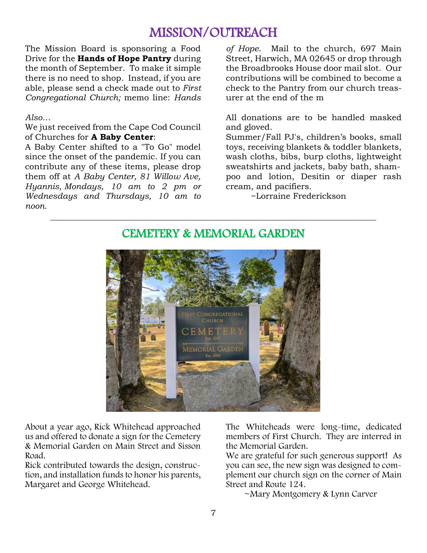# MISSION/OUTREACH

The Mission Board is sponsoring a Food Drive for the **Hands of Hope Pantry** during the month of September. To make it simple there is no need to shop. Instead, if you are able, please send a check made out to *First Congregational Church;* memo line: *Hands* 

#### *Also…*

We just received from the Cape Cod Council of Churches for **A Baby Center**:

A Baby Center shifted to a "To Go" model since the onset of the pandemic. If you can contribute any of these items, please drop them off at *A Baby Center, 81 Willow Ave, Hyannis, Mondays, 10 am to 2 pm or Wednesdays and Thursdays, 10 am to noon.* 

*of Hope*. Mail to the church, 697 Main Street, Harwich, MA 02645 or drop through the Broadbrooks House door mail slot. Our contributions will be combined to become a check to the Pantry from our church treasurer at the end of the m

All donations are to be handled masked and gloved.

Summer/Fall PJ's, children's books, small toys, receiving blankets & toddler blankets, wash cloths, bibs, burp cloths, lightweight sweatshirts and jackets, baby bath, shampoo and lotion, Desitin or diaper rash cream, and pacifiers.

~Lorraine Frederickson



#### CEMETERY & MEMORIAL GARDEN

**\_\_\_\_\_\_\_\_\_\_\_\_\_\_\_\_\_\_\_\_\_\_\_\_\_\_\_\_\_\_\_\_\_\_\_\_\_\_\_\_\_\_\_\_\_\_\_\_\_\_\_\_\_\_\_\_\_\_\_\_\_\_\_\_\_\_\_\_\_\_\_\_\_\_\_\_\_\_\_\_\_\_\_\_\_\_\_\_\_\_\_\_\_\_\_\_\_\_\_\_\_\_\_\_\_**

About a year ago, Rick Whitehead approached us and offered to donate a sign for the Cemetery & Memorial Garden on Main Street and Sisson Road.

Rick contributed towards the design, construction, and installation funds to honor his parents, Margaret and George Whitehead.

The Whiteheads were long-time, dedicated members of First Church. They are interred in the Memorial Garden.

We are grateful for such generous support! As you can see, the new sign was designed to complement our church sign on the corner of Main Street and Route 124.

~Mary Montgomery & Lynn Carver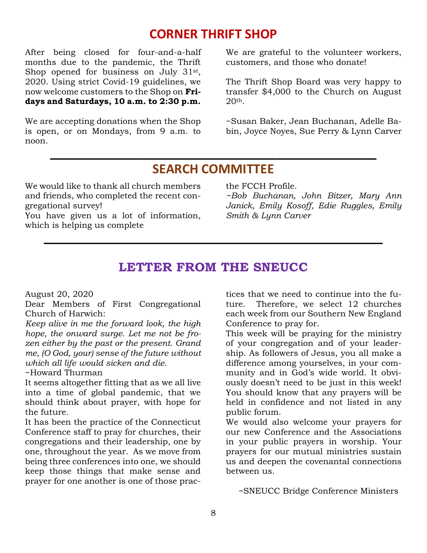## **CORNER THRIFT SHOP**

After being closed for four-and-a-half months due to the pandemic, the Thrift Shop opened for business on July 31<sup>st</sup>, 2020. Using strict Covid-19 guidelines, we now welcome customers to the Shop on **Fridays and Saturdays, 10 a.m. to 2:30 p.m.**

We are accepting donations when the Shop is open, or on Mondays, from 9 a.m. to noon.

We are grateful to the volunteer workers, customers, and those who donate!

The Thrift Shop Board was very happy to transfer \$4,000 to the Church on August 20th.

~Susan Baker, Jean Buchanan, Adelle Babin, Joyce Noyes, Sue Perry & Lynn Carver

## **SEARCH COMMITTEE**

**\_\_\_\_\_\_\_\_\_\_\_\_\_\_\_\_\_\_\_\_\_\_\_\_\_\_\_\_\_\_\_\_\_\_\_\_\_\_\_\_\_\_\_\_\_\_\_\_\_\_\_\_** 

We would like to thank all church members and friends, who completed the recent congregational survey!

You have given us a lot of information, which is helping us complete

the FCCH Profile.

*~Bob Buchanan, John Bitzer, Mary Ann Janick, Emily Kosoff, Edie Ruggles, Emily Smith & Lynn Carver* 

### **LETTER FROM THE SNEUCC**

**\_\_\_\_\_\_\_\_\_\_\_\_\_\_\_\_\_\_\_\_\_\_\_\_\_\_\_\_\_\_\_\_\_\_\_\_\_\_\_\_\_\_\_\_\_\_\_\_\_\_\_\_\_\_** 

August 20, 2020

Dear Members of First Congregational Church of Harwich:

*Keep alive in me the forward look, the high hope, the onward surge. Let me not be frozen either by the past or the present. Grand me, (O God, your) sense of the future without which all life would sicken and die.* 

~Howard Thurman

It seems altogether fitting that as we all live into a time of global pandemic, that we should think about prayer, with hope for the future.

It has been the practice of the Connecticut Conference staff to pray for churches, their congregations and their leadership, one by one, throughout the year. As we move from being three conferences into one, we should keep those things that make sense and prayer for one another is one of those practices that we need to continue into the future. Therefore, we select 12 churches each week from our Southern New England Conference to pray for.

This week will be praying for the ministry of your congregation and of your leadership. As followers of Jesus, you all make a difference among yourselves, in your community and in God's wide world. It obviously doesn't need to be just in this week! You should know that any prayers will be held in confidence and not listed in any public forum.

We would also welcome your prayers for our new Conference and the Associations in your public prayers in worship. Your prayers for our mutual ministries sustain us and deepen the covenantal connections between us.

~SNEUCC Bridge Conference Ministers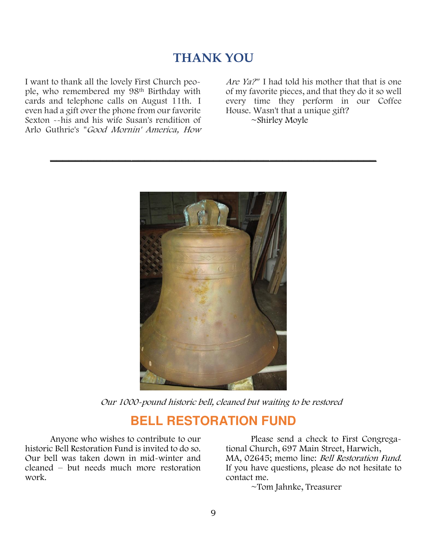## **THANK YOU**

**\_\_\_\_\_\_\_\_\_\_\_\_\_\_\_\_\_\_\_\_\_\_\_\_\_\_\_\_\_\_\_\_\_\_\_\_\_\_\_\_\_\_\_\_\_\_\_\_\_\_\_\_** 

I want to thank all the lovely First Church people, who remembered my 98th Birthday with cards and telephone calls on August 11th. I even had a gift over the phone from our favorite Sexton --his and his wife Susan's rendition of Arlo Guthrie's "Good Mornin' America, How

Are Ya?" I had told his mother that that is one of my favorite pieces, and that they do it so well every time they perform in our Coffee House. Wasn't that a unique gift? ~Shirley Moyle

Our 1000-pound historic bell, cleaned but waiting to be restored

## **BELL RESTORATION FUND**

Anyone who wishes to contribute to our historic Bell Restoration Fund is invited to do so. Our bell was taken down in mid-winter and cleaned – but needs much more restoration work.

Please send a check to First Congregational Church, 697 Main Street, Harwich, MA, 02645; memo line: Bell Restoration Fund. If you have questions, please do not hesitate to contact me.

~Tom Jahnke, Treasurer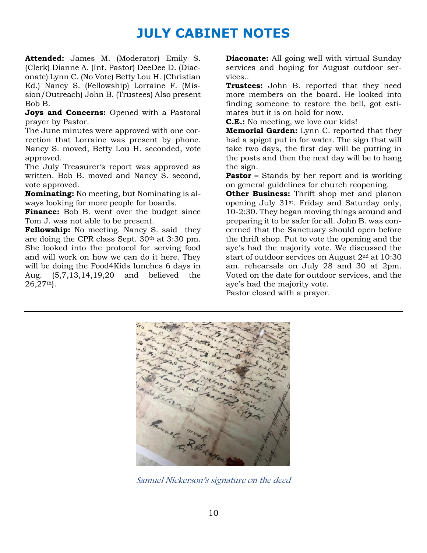# **JULY CABINET NOTES**

**Attended:** James M. (Moderator) Emily S. (Clerk) Dianne A. (Int. Pastor) DeeDee D. (Diaconate) Lynn C. (No Vote) Betty Lou H. (Christian Ed.) Nancy S. (Fellowship) Lorraine F. (Mission/Outreach) John B. (Trustees) Also present Bob B.

**Joys and Concerns:** Opened with a Pastoral prayer by Pastor.

The June minutes were approved with one correction that Lorraine was present by phone. Nancy S. moved, Betty Lou H. seconded, vote approved.

The July Treasurer's report was approved as written. Bob B. moved and Nancy S. second, vote approved.

**Nominating:** No meeting, but Nominating is always looking for more people for boards.

**Finance:** Bob B. went over the budget since Tom J. was not able to be present.

**Fellowship:** No meeting. Nancy S. said they are doing the CPR class Sept. 30th at 3:30 pm. She looked into the protocol for serving food and will work on how we can do it here. They will be doing the Food4Kids lunches 6 days in Aug. (5,7,13,14,19,20 and believed the 26,27th).

**Diaconate:** All going well with virtual Sunday services and hoping for August outdoor services..

**Trustees:** John B. reported that they need more members on the board. He looked into finding someone to restore the bell, got estimates but it is on hold for now.

**C.E.:** No meeting, we love our kids!

**Memorial Garden:** Lynn C. reported that they had a spigot put in for water. The sign that will take two days, the first day will be putting in the posts and then the next day will be to hang the sign.

**Pastor –** Stands by her report and is working on general guidelines for church reopening.

**Other Business:** Thrift shop met and planon opening July 31st. Friday and Saturday only, 10-2:30. They began moving things around and preparing it to be safer for all. John B. was concerned that the Sanctuary should open before the thrift shop. Put to vote the opening and the aye's had the majority vote. We discussed the start of outdoor services on August 2nd at 10:30 am. rehearsals on July 28 and 30 at 2pm. Voted on the date for outdoor services, and the aye's had the majority vote.

Pastor closed with a prayer.



Samuel Nickerson's signature on the deed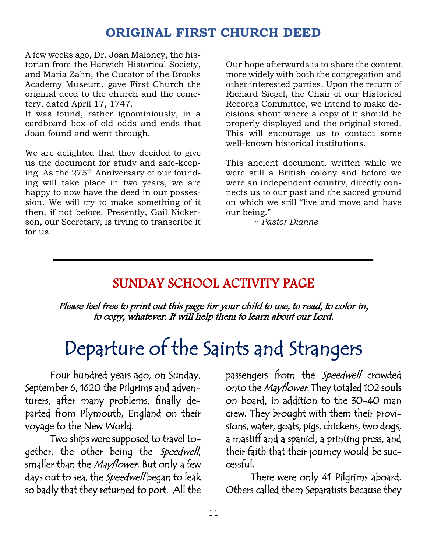## **ORIGINAL FIRST CHURCH DEED**

A few weeks ago, Dr. Joan Maloney, the historian from the Harwich Historical Society, and Maria Zahn, the Curator of the Brooks Academy Museum, gave First Church the original deed to the church and the cemetery, dated April 17, 1747.

It was found, rather ignominiously, in a cardboard box of old odds and ends that Joan found and went through.

We are delighted that they decided to give us the document for study and safe-keeping. As the 275<sup>th</sup> Anniversary of our founding will take place in two years, we are happy to now have the deed in our possession. We will try to make something of it then, if not before. Presently, Gail Nickerson, our Secretary, is trying to transcribe it for us.

Our hope afterwards is to share the content more widely with both the congregation and other interested parties. Upon the return of Richard Siegel, the Chair of our Historical Records Committee, we intend to make decisions about where a copy of it should be properly displayed and the original stored. This will encourage us to contact some well-known historical institutions.

This ancient document, written while we were still a British colony and before we were an independent country, directly connects us to our past and the sacred ground on which we still "live and move and have our being."

~ *Pastor Dianne* 

## SUNDAY SCHOOL ACTIVITY PAGE

**\_\_\_\_\_\_\_\_\_\_\_\_\_\_\_\_\_\_\_\_\_\_\_\_\_\_\_\_\_\_\_\_\_\_\_\_\_\_\_\_\_\_\_\_\_\_\_\_\_\_\_** 

Please feel free to print out this page for your child to use, to read, to color in, to copy, whatever. It will help them to learn about our Lord.

# Departure of the Saints and Strangers

Four hundred years ago, on Sunday, September 6, 1620 the Pilgrims and adventurers, after many problems, finally departed from Plymouth, England on their voyage to the New World.

Two ships were supposed to travel together, the other being the Speedwell, smaller than the *Mayflower*. But only a few days out to sea, the *Speedwell* began to leak so badly that they returned to port. All the

passengers from the Speedwell crowded onto the Mayflower. They totaled 102 souls on board, in addition to the 30-40 man crew. They brought with them their provisions, water, goats, pigs, chickens, two dogs, a mastiff and a spaniel, a printing press, and their faith that their journey would be successful.

There were only 41 Pilgrims aboard. Others called them Separatists because they